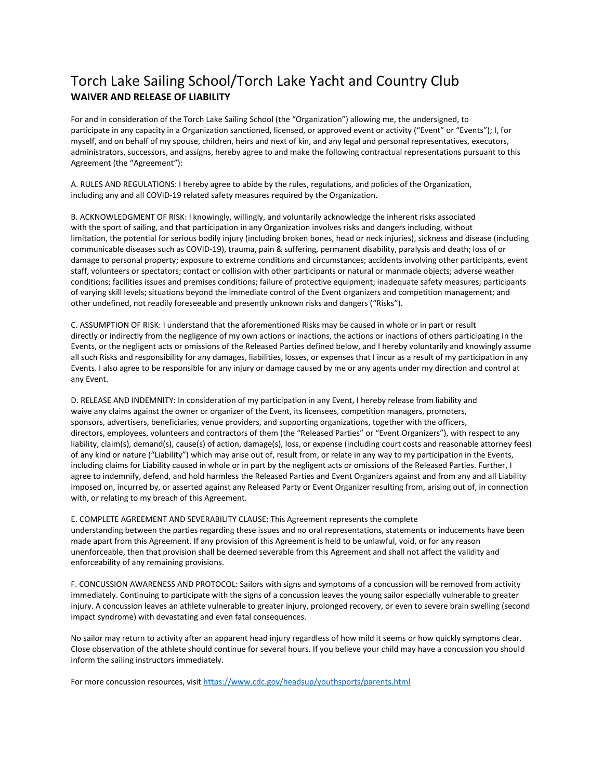## Torch Lake Sailing School/Torch Lake Yacht and Country Club **WAIVER AND RELEASE OF LIABILITY**

For and in consideration of the Torch Lake Sailing School (the "Organization") allowing me, the undersigned, to participate in any capacity in a Organization sanctioned, licensed, or approved event or activity ("Event" or "Events"); I, for myself, and on behalf of my spouse, children, heirs and next of kin, and any legal and personal representatives, executors, administrators, successors, and assigns, hereby agree to and make the following contractual representations pursuant to this Agreement (the "Agreement"):

A. RULES AND REGULATIONS: I hereby agree to abide by the rules, regulations, and policies of the Organization, including any and all COVID-19 related safety measures required by the Organization.

B. ACKNOWLEDGMENT OF RISK: I knowingly, willingly, and voluntarily acknowledge the inherent risks associated with the sport of sailing, and that participation in any Organization involves risks and dangers including, without limitation, the potential for serious bodily injury (including broken bones, head or neck injuries), sickness and disease (including communicable diseases such as COVID-19), trauma, pain & suffering, permanent disability, paralysis and death; loss of or damage to personal property; exposure to extreme conditions and circumstances; accidents involving other participants, event staff, volunteers or spectators; contact or collision with other participants or natural or manmade objects; adverse weather conditions; facilities issues and premises conditions; failure of protective equipment; inadequate safety measures; participants of varying skill levels; situations beyond the immediate control of the Event organizers and competition management; and other undefined, not readily foreseeable and presently unknown risks and dangers ("Risks").

C. ASSUMPTION OF RISK: I understand that the aforementioned Risks may be caused in whole or in part or result directly or indirectly from the negligence of my own actions or inactions, the actions or inactions of others participating in the Events, or the negligent acts or omissions of the Released Parties defined below, and I hereby voluntarily and knowingly assume all such Risks and responsibility for any damages, liabilities, losses, or expenses that I incur as a result of my participation in any Events. I also agree to be responsible for any injury or damage caused by me or any agents under my direction and control at any Event.

D. RELEASE AND INDEMNITY: In consideration of my participation in any Event, I hereby release from liability and waive any claims against the owner or organizer of the Event, its licensees, competition managers, promoters, sponsors, advertisers, beneficiaries, venue providers, and supporting organizations, together with the officers, directors, employees, volunteers and contractors of them (the "Released Parties" or "Event Organizers"), with respect to any liability, claim(s), demand(s), cause(s) of action, damage(s), loss, or expense (including court costs and reasonable attorney fees) of any kind or nature ("Liability") which may arise out of, result from, or relate in any way to my participation in the Events, including claims for Liability caused in whole or in part by the negligent acts or omissions of the Released Parties. Further, I agree to indemnify, defend, and hold harmless the Released Parties and Event Organizers against and from any and all Liability imposed on, incurred by, or asserted against any Released Party or Event Organizer resulting from, arising out of, in connection with, or relating to my breach of this Agreement.

E. COMPLETE AGREEMENT AND SEVERABILITY CLAUSE: This Agreement represents the complete understanding between the parties regarding these issues and no oral representations, statements or inducements have been made apart from this Agreement. If any provision of this Agreement is held to be unlawful, void, or for any reason unenforceable, then that provision shall be deemed severable from this Agreement and shall not affect the validity and enforceability of any remaining provisions.

F. CONCUSSION AWARENESS AND PROTOCOL: Sailors with signs and symptoms of a concussion will be removed from activity immediately. Continuing to participate with the signs of a concussion leaves the young sailor especially vulnerable to greater injury. A concussion leaves an athlete vulnerable to greater injury, prolonged recovery, or even to severe brain swelling (second impact syndrome) with devastating and even fatal consequences.

No sailor may return to activity after an apparent head injury regardless of how mild it seems or how quickly symptoms clear. Close observation of the athlete should continue for several hours. If you believe your child may have a concussion you should inform the sailing instructors immediately.

For more concussion resources, visi[t https://www.cdc.gov/headsup/youthsports/parents.html](https://www.cdc.gov/headsup/youthsports/parents.html)